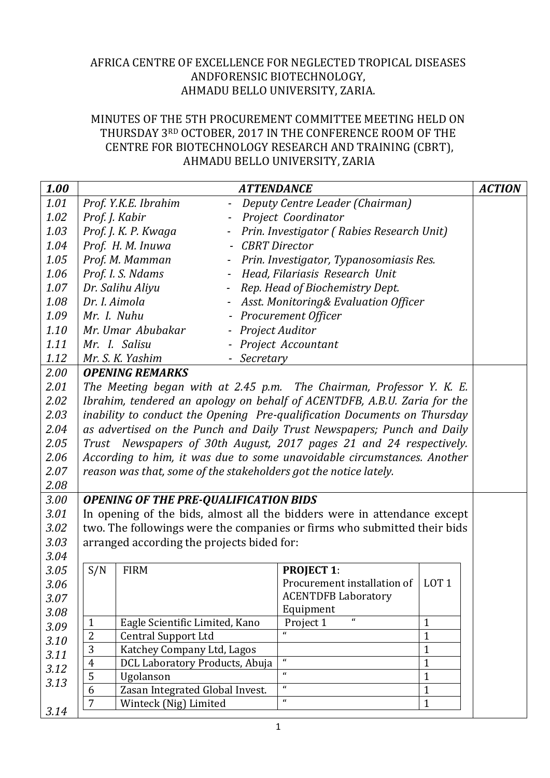## AFRICA CENTRE OF EXCELLENCE FOR NEGLECTED TROPICAL DISEASES ANDFORENSIC BIOTECHNOLOGY, AHMADU BELLO UNIVERSITY, ZARIA.

## MINUTES OF THE 5TH PROCUREMENT COMMITTEE MEETING HELD ON THURSDAY 3RD OCTOBER, 2017 IN THE CONFERENCE ROOM OF THE CENTRE FOR BIOTECHNOLOGY RESEARCH AND TRAINING (CBRT), AHMADU BELLO UNIVERSITY, ZARIA

| 1.00 |                                                                          |                                                                   | <b>ATTENDANCE</b>                                                        | <b>ACTION</b>                |  |  |  |
|------|--------------------------------------------------------------------------|-------------------------------------------------------------------|--------------------------------------------------------------------------|------------------------------|--|--|--|
| 1.01 |                                                                          | Prof. Y.K.E. Ibrahim                                              | - Deputy Centre Leader (Chairman)                                        |                              |  |  |  |
| 1.02 | Prof. J. Kabir                                                           |                                                                   | Project Coordinator                                                      |                              |  |  |  |
| 1.03 |                                                                          | Prof. J. K. P. Kwaga<br>Prin. Investigator (Rabies Research Unit) |                                                                          |                              |  |  |  |
| 1.04 |                                                                          | Prof. H. M. Inuwa<br>$\overline{\phantom{a}}$                     | <b>CBRT</b> Director                                                     |                              |  |  |  |
| 1.05 |                                                                          | Prof. M. Mamman<br>$ \,$                                          | Prin. Investigator, Typanosomiasis Res.                                  |                              |  |  |  |
| 1.06 |                                                                          | Prof. I. S. Ndams                                                 | - Head, Filariasis Research Unit                                         |                              |  |  |  |
| 1.07 |                                                                          | Dr. Salihu Aliyu<br>$\overline{\phantom{a}}$                      | Rep. Head of Biochemistry Dept.                                          |                              |  |  |  |
| 1.08 | Dr. I. Aimola                                                            |                                                                   | Asst. Monitoring& Evaluation Officer                                     |                              |  |  |  |
| 1.09 | Mr. I. Nuhu                                                              |                                                                   | <b>Procurement Officer</b>                                               |                              |  |  |  |
| 1.10 |                                                                          | Mr. Umar Abubakar<br>- Project Auditor                            |                                                                          |                              |  |  |  |
| 1.11 |                                                                          | Project Accountant<br>Mr. I. Salisu                               |                                                                          |                              |  |  |  |
| 1.12 |                                                                          | Mr. S. K. Yashim                                                  | - Secretary                                                              |                              |  |  |  |
| 2.00 | <b>OPENING REMARKS</b>                                                   |                                                                   |                                                                          |                              |  |  |  |
| 2.01 | The Meeting began with at 2.45 p.m. The Chairman, Professor Y. K. E.     |                                                                   |                                                                          |                              |  |  |  |
| 2.02 | Ibrahim, tendered an apology on behalf of ACENTDFB, A.B.U. Zaria for the |                                                                   |                                                                          |                              |  |  |  |
| 2.03 | inability to conduct the Opening Pre-qualification Documents on Thursday |                                                                   |                                                                          |                              |  |  |  |
| 2.04 | as advertised on the Punch and Daily Trust Newspapers; Punch and Daily   |                                                                   |                                                                          |                              |  |  |  |
| 2.05 | Trust Newspapers of 30th August, 2017 pages 21 and 24 respectively.      |                                                                   |                                                                          |                              |  |  |  |
| 2.06 | According to him, it was due to some unavoidable circumstances. Another  |                                                                   |                                                                          |                              |  |  |  |
| 2.07 |                                                                          |                                                                   | reason was that, some of the stakeholders got the notice lately.         |                              |  |  |  |
| 2.08 |                                                                          |                                                                   |                                                                          |                              |  |  |  |
| 3.00 |                                                                          | <b>OPENING OF THE PRE-QUALIFICATION BIDS</b>                      |                                                                          |                              |  |  |  |
| 3.01 |                                                                          |                                                                   | In opening of the bids, almost all the bidders were in attendance except |                              |  |  |  |
| 3.02 | two. The followings were the companies or firms who submitted their bids |                                                                   |                                                                          |                              |  |  |  |
| 3.03 | arranged according the projects bided for:                               |                                                                   |                                                                          |                              |  |  |  |
| 3.04 |                                                                          |                                                                   |                                                                          |                              |  |  |  |
| 3.05 | S/N                                                                      | <b>FIRM</b>                                                       | <b>PROJECT 1:</b>                                                        |                              |  |  |  |
| 3.06 |                                                                          |                                                                   | Procurement installation of                                              | LOT <sub>1</sub>             |  |  |  |
| 3.07 |                                                                          |                                                                   | <b>ACENTDFB Laboratory</b>                                               |                              |  |  |  |
| 3.08 |                                                                          |                                                                   | Equipment<br>$\mathbf{u}$                                                |                              |  |  |  |
| 3.09 | $\mathbf{1}$<br>$\overline{2}$                                           | Eagle Scientific Limited, Kano<br><b>Central Support Ltd</b>      | Project 1<br>$\epsilon$                                                  | $\mathbf{1}$<br>$\mathbf{1}$ |  |  |  |
| 3.10 | 3                                                                        | Katchey Company Ltd, Lagos                                        |                                                                          | 1                            |  |  |  |
| 3.11 | $\overline{4}$                                                           | DCL Laboratory Products, Abuja                                    | $\mathbf{u}$                                                             | $\mathbf{1}$                 |  |  |  |
| 3.12 | 5                                                                        | Ugolanson                                                         | $\mathbf{u}$                                                             | $\mathbf{1}$                 |  |  |  |
| 3.13 | 6                                                                        | Zasan Integrated Global Invest.                                   | $\mathbf{u}$                                                             | 1                            |  |  |  |
|      | $\overline{7}$                                                           | Winteck (Nig) Limited                                             | $\mathbf{u}$                                                             | $\mathbf{1}$                 |  |  |  |
| 3.14 |                                                                          |                                                                   |                                                                          |                              |  |  |  |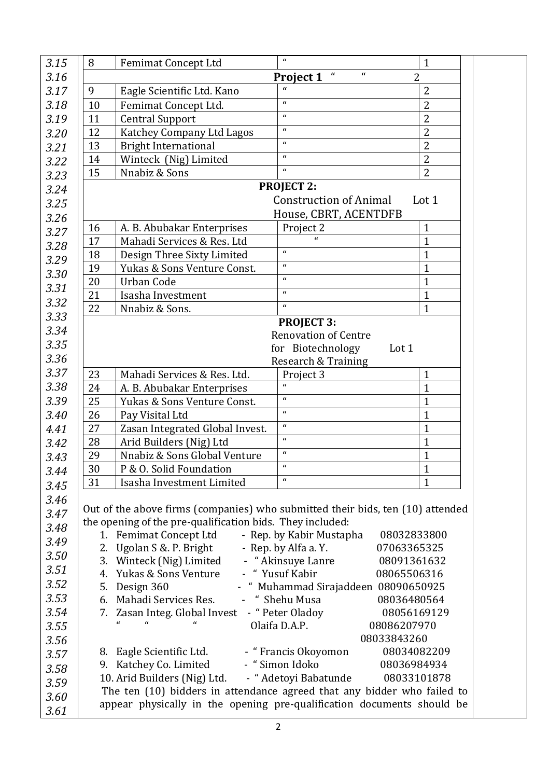| 3.15         | 8                                                                                                                                                 | <b>Femimat Concept Ltd</b>                                                     | $\mathbf{u}$                            | $\mathbf{1}$                |  |  |  |
|--------------|---------------------------------------------------------------------------------------------------------------------------------------------------|--------------------------------------------------------------------------------|-----------------------------------------|-----------------------------|--|--|--|
| 3.16         | $\pmb{\mathcal{U}}$<br>$\mathbf{u}$<br>Project 1<br>2                                                                                             |                                                                                |                                         |                             |  |  |  |
| 3.17         | 9                                                                                                                                                 | Eagle Scientific Ltd. Kano                                                     | $\mathbf{u}$                            | $\overline{2}$              |  |  |  |
| 3.18         | 10                                                                                                                                                | Femimat Concept Ltd.                                                           | $\mathbf{u}$                            | $\overline{2}$              |  |  |  |
| 3.19         | 11                                                                                                                                                | <b>Central Support</b>                                                         | $\boldsymbol{a}$                        | $\overline{2}$              |  |  |  |
| 3.20         | 12                                                                                                                                                | Katchey Company Ltd Lagos                                                      | $\mathbf{u}$                            | $\overline{2}$              |  |  |  |
| 3.21         | 13                                                                                                                                                | <b>Bright International</b>                                                    | $\mathbf{u}$                            | $\overline{2}$              |  |  |  |
| 3.22         | 14                                                                                                                                                | Winteck (Nig) Limited                                                          | $\mathbf{u}$                            | $\overline{2}$              |  |  |  |
| 3.23         | 15                                                                                                                                                | Nnabiz & Sons                                                                  | $\mathbf{u}$                            | $\overline{2}$              |  |  |  |
| 3.24         | <b>PROJECT 2:</b>                                                                                                                                 |                                                                                |                                         |                             |  |  |  |
| 3.25         | <b>Construction of Animal</b><br>Lot 1                                                                                                            |                                                                                |                                         |                             |  |  |  |
| 3.26         |                                                                                                                                                   |                                                                                | House, CBRT, ACENTDFB                   |                             |  |  |  |
| 3.27         | 16                                                                                                                                                | A. B. Abubakar Enterprises                                                     | Project 2                               | $\mathbf{1}$                |  |  |  |
| 3.28         | 17                                                                                                                                                | Mahadi Services & Res. Ltd                                                     |                                         | $\mathbf{1}$                |  |  |  |
| 3.29         | 18                                                                                                                                                | Design Three Sixty Limited                                                     | $\mathbf{u}$                            | $\mathbf{1}$                |  |  |  |
| 3.30         | 19                                                                                                                                                | Yukas & Sons Venture Const.                                                    | $\mathbf{u}$                            | $\mathbf{1}$                |  |  |  |
| 3.31         | 20                                                                                                                                                | <b>Urban Code</b>                                                              | $\mathbf{u}$                            | $\mathbf{1}$                |  |  |  |
| 3.32         | 21                                                                                                                                                | Isasha Investment                                                              | $\mathbf{u}$                            | $\mathbf{1}$                |  |  |  |
|              | 22                                                                                                                                                | Nnabiz & Sons.                                                                 | $\mathbf{u}$                            | $\mathbf{1}$                |  |  |  |
| 3.33<br>3.34 |                                                                                                                                                   |                                                                                | <b>PROJECT 3:</b>                       |                             |  |  |  |
|              | <b>Renovation of Centre</b>                                                                                                                       |                                                                                |                                         |                             |  |  |  |
| 3.35         |                                                                                                                                                   |                                                                                | for Biotechnology<br>Lot 1              |                             |  |  |  |
| 3.36         |                                                                                                                                                   |                                                                                | Research & Training                     |                             |  |  |  |
| 3.37         | 23                                                                                                                                                | Mahadi Services & Res. Ltd.                                                    | Project 3<br>$\mathbf{u}$               | $\mathbf{1}$                |  |  |  |
| 3.38         | 24                                                                                                                                                | A. B. Abubakar Enterprises                                                     | $\mathbf{u}$                            | $\mathbf{1}$                |  |  |  |
| 3.39         | 25                                                                                                                                                | Yukas & Sons Venture Const.                                                    | $\mathbf{u}$                            | $\mathbf{1}$                |  |  |  |
| 3.40         | 26                                                                                                                                                | Pay Visital Ltd                                                                | $\mathbf{u}$                            | $\mathbf{1}$                |  |  |  |
| 4.41         | 27                                                                                                                                                | Zasan Integrated Global Invest.                                                | $\mathbf{u}$                            | $\mathbf{1}$                |  |  |  |
| 3.42         | 28                                                                                                                                                | Arid Builders (Nig) Ltd                                                        | $\mathbf{u}$                            | $\mathbf{1}$                |  |  |  |
| 3.43         | 29                                                                                                                                                | Nnabiz & Sons Global Venture                                                   | $\mathbf{u}$                            | $\mathbf{1}$                |  |  |  |
| 3.44         | $30\,$<br>31                                                                                                                                      | P & O. Solid Foundation<br>Isasha Investment Limited                           | $\mathbf{r}$                            | $\mathbf 1$<br>$\mathbf{1}$ |  |  |  |
| 3.45         |                                                                                                                                                   |                                                                                |                                         |                             |  |  |  |
| 3.46         |                                                                                                                                                   | Out of the above firms (companies) who submitted their bids, ten (10) attended |                                         |                             |  |  |  |
| 3.47         |                                                                                                                                                   | the opening of the pre-qualification bids. They included:                      |                                         |                             |  |  |  |
| 3.48         |                                                                                                                                                   | 1. Femimat Concept Ltd                                                         | - Rep. by Kabir Mustapha<br>08032833800 |                             |  |  |  |
| 3.49         | 2.                                                                                                                                                | Ugolan S &. P. Bright                                                          | - Rep. by Alfa a. Y.<br>07063365325     |                             |  |  |  |
| 3.50         |                                                                                                                                                   | 3. Winteck (Nig) Limited                                                       | - "Akinsuye Lanre<br>08091361632        |                             |  |  |  |
| 3.51         |                                                                                                                                                   | 4. Yukas & Sons Venture                                                        | - "Yusuf Kabir<br>08065506316           |                             |  |  |  |
| 3.52         | 5.                                                                                                                                                | Design 360                                                                     | - "Muhammad Sirajaddeen 08090650925     |                             |  |  |  |
| 3.53         |                                                                                                                                                   | 6. Mahadi Services Res.                                                        | - " Shehu Musa<br>08036480564           |                             |  |  |  |
| 3.54         |                                                                                                                                                   | 7. Zasan Integ. Global Invest - "Peter Oladoy                                  |                                         | 08056169129                 |  |  |  |
| 3.55         |                                                                                                                                                   |                                                                                | Olaifa D.A.P.<br>08086207970            |                             |  |  |  |
| 3.56         | 08033843260                                                                                                                                       |                                                                                |                                         |                             |  |  |  |
| 3.57         |                                                                                                                                                   | 8. Eagle Scientific Ltd.                                                       | - "Francis Okoyomon                     | 08034082209                 |  |  |  |
| 3.58         |                                                                                                                                                   | 9. Katchey Co. Limited                                                         | - "Simon Idoko<br>08036984934           |                             |  |  |  |
| 3.59         | - "Adetoyi Babatunde<br>10. Arid Builders (Nig) Ltd.<br>08033101878                                                                               |                                                                                |                                         |                             |  |  |  |
| 3.60         | The ten (10) bidders in attendance agreed that any bidder who failed to<br>appear physically in the opening pre-qualification documents should be |                                                                                |                                         |                             |  |  |  |
| 3.61         |                                                                                                                                                   |                                                                                |                                         |                             |  |  |  |